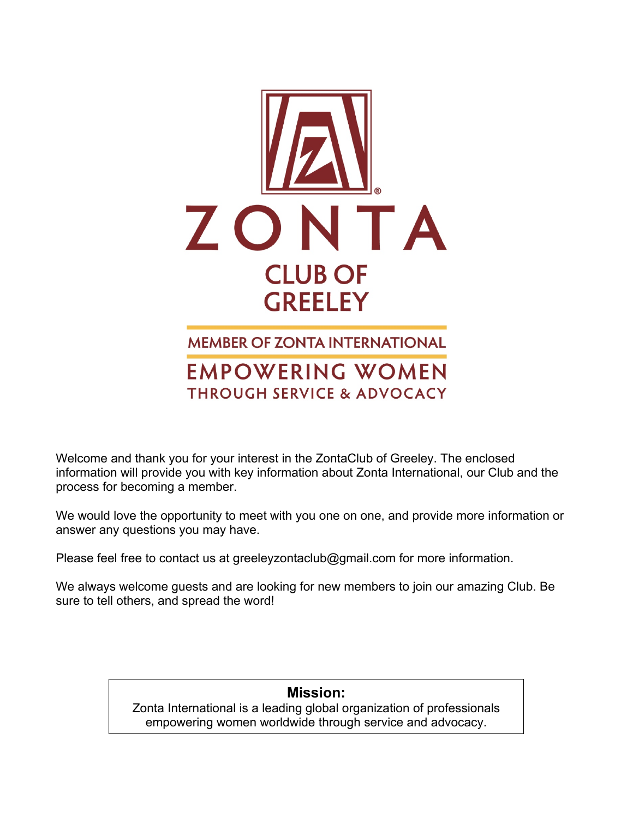

**MEMBER OF ZONTA INTERNATIONAL EMPOWERING WOMEN THROUGH SERVICE & ADVOCACY** 

Welcome and thank you for your interest in the ZontaClub of Greeley. The enclosed information will provide you with key information about Zonta International, our Club and the process for becoming a member.

We would love the opportunity to meet with you one on one, and provide more information or answer any questions you may have.

Please feel free to contact us at greeleyzontaclub@gmail.com for more information.

We always welcome guests and are looking for new members to join our amazing Club. Be sure to tell others, and spread the word!

## **Mission:**

Zonta International is a leading global organization of professionals empowering women worldwide through service and advocacy.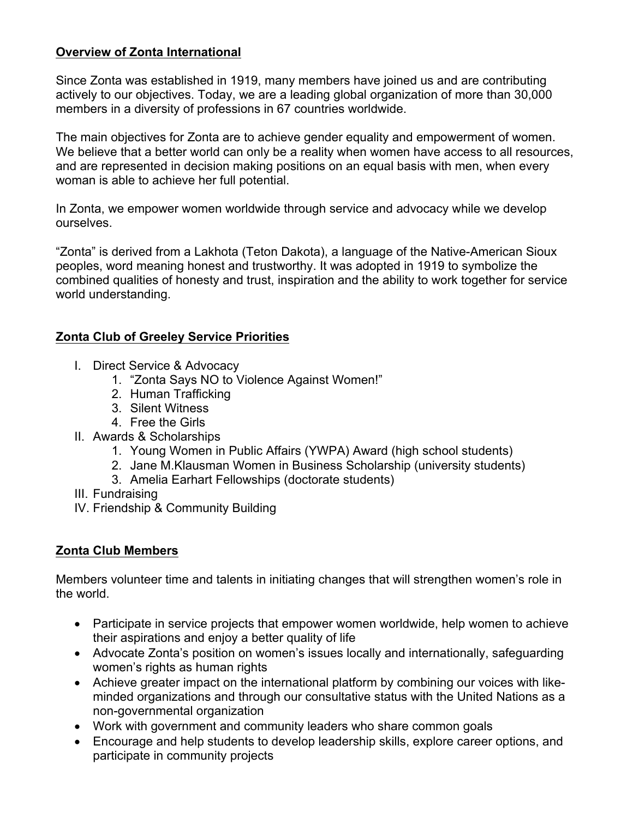## **Overview of Zonta International**

Since Zonta was established in 1919, many members have joined us and are contributing actively to our objectives. Today, we are a leading global organization of more than 30,000 members in a diversity of professions in 67 countries worldwide.

The main objectives for Zonta are to achieve gender equality and empowerment of women. We believe that a better world can only be a reality when women have access to all resources, and are represented in decision making positions on an equal basis with men, when every woman is able to achieve her full potential.

In Zonta, we empower women worldwide through service and advocacy while we develop ourselves.

"Zonta" is derived from a Lakhota (Teton Dakota), a language of the Native-American Sioux peoples, word meaning honest and trustworthy. It was adopted in 1919 to symbolize the combined qualities of honesty and trust, inspiration and the ability to work together for service world understanding.

## **Zonta Club of Greeley Service Priorities**

- I. Direct Service & Advocacy
	- 1. "Zonta Says NO to Violence Against Women!"
	- 2. Human Trafficking
	- 3. Silent Witness
	- 4. Free the Girls
- II. Awards & Scholarships
	- 1. Young Women in Public Affairs (YWPA) Award (high school students)
	- 2. Jane M.Klausman Women in Business Scholarship (university students)
	- 3. Amelia Earhart Fellowships (doctorate students)
- III. Fundraising
- IV. Friendship & Community Building

## **Zonta Club Members**

Members volunteer time and talents in initiating changes that will strengthen women's role in the world.

- Participate in service projects that empower women worldwide, help women to achieve their aspirations and enjoy a better quality of life
- Advocate Zonta's position on women's issues locally and internationally, safeguarding women's rights as human rights
- Achieve greater impact on the international platform by combining our voices with likeminded organizations and through our consultative status with the United Nations as a non-governmental organization
- Work with government and community leaders who share common goals
- Encourage and help students to develop leadership skills, explore career options, and participate in community projects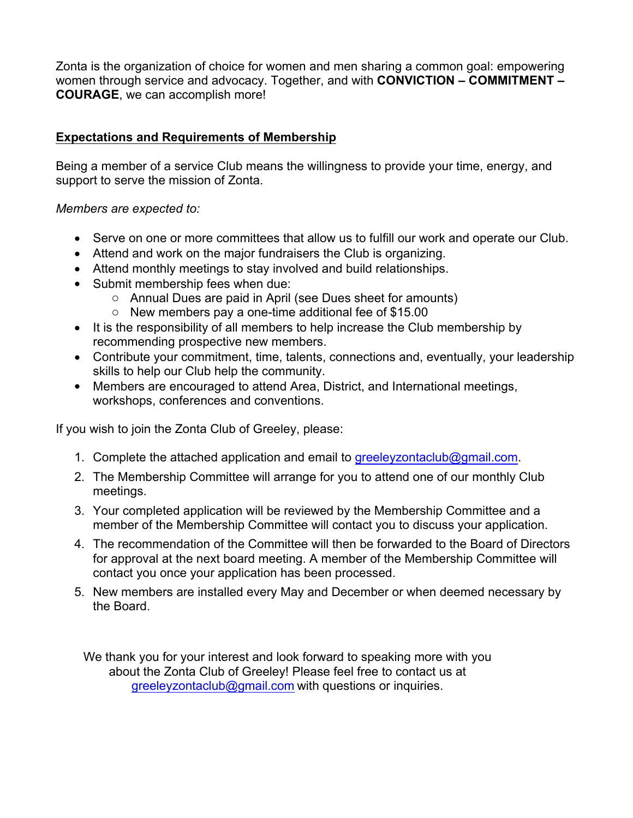Zonta is the organization of choice for women and men sharing a common goal: empowering women through service and advocacy. Together, and with **CONVICTION – COMMITMENT – COURAGE**, we can accomplish more!

#### **Expectations and Requirements of Membership**

Being a member of a service Club means the willingness to provide your time, energy, and support to serve the mission of Zonta.

#### *Members are expected to:*

- Serve on one or more committees that allow us to fulfill our work and operate our Club.
- Attend and work on the major fundraisers the Club is organizing.
- Attend monthly meetings to stay involved and build relationships.
- Submit membership fees when due:
	- o Annual Dues are paid in April (see Dues sheet for amounts)
	- o New members pay a one-time additional fee of \$15.00
- It is the responsibility of all members to help increase the Club membership by recommending prospective new members.
- Contribute your commitment, time, talents, connections and, eventually, your leadership skills to help our Club help the community.
- Members are encouraged to attend Area, District, and International meetings, workshops, conferences and conventions.

If you wish to join the Zonta Club of Greeley, please:

- 1. Complete the attached application and email to greeleyzontaclub@gmail.com.
- 2. The Membership Committee will arrange for you to attend one of our monthly Club meetings.
- 3. Your completed application will be reviewed by the Membership Committee and a member of the Membership Committee will contact you to discuss your application.
- 4. The recommendation of the Committee will then be forwarded to the Board of Directors for approval at the next board meeting. A member of the Membership Committee will contact you once your application has been processed.
- 5. New members are installed every May and December or when deemed necessary by the Board.

We thank you for your interest and look forward to speaking more with you about the Zonta Club of Greeley! Please feel free to contact us at greeleyzontaclub@gmail.com with questions or inquiries.